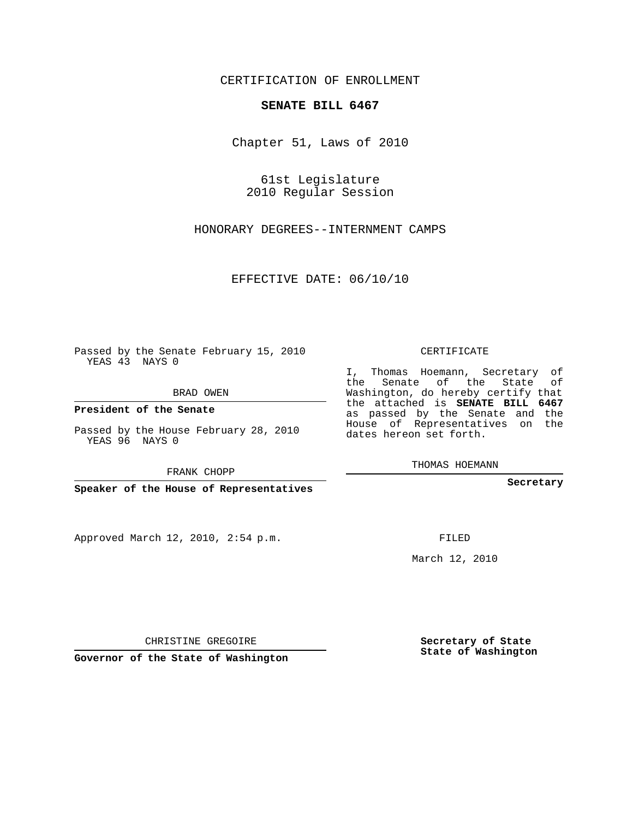## CERTIFICATION OF ENROLLMENT

## **SENATE BILL 6467**

Chapter 51, Laws of 2010

61st Legislature 2010 Regular Session

HONORARY DEGREES--INTERNMENT CAMPS

EFFECTIVE DATE: 06/10/10

Passed by the Senate February 15, 2010 YEAS 43 NAYS 0

BRAD OWEN

**President of the Senate**

Passed by the House February 28, 2010 YEAS 96 NAYS 0

FRANK CHOPP

Approved March 12, 2010, 2:54 p.m.

CERTIFICATE

I, Thomas Hoemann, Secretary of the Senate of the State of Washington, do hereby certify that the attached is **SENATE BILL 6467** as passed by the Senate and the House of Representatives on the dates hereon set forth.

THOMAS HOEMANN

**Secretary**

FILED

March 12, 2010

**Secretary of State State of Washington**

CHRISTINE GREGOIRE

**Governor of the State of Washington**

**Speaker of the House of Representatives**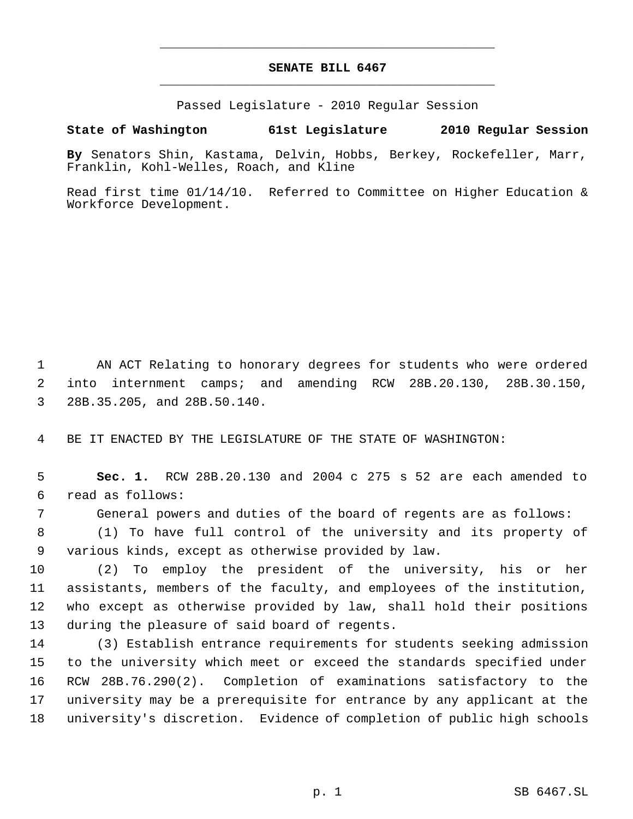## **SENATE BILL 6467** \_\_\_\_\_\_\_\_\_\_\_\_\_\_\_\_\_\_\_\_\_\_\_\_\_\_\_\_\_\_\_\_\_\_\_\_\_\_\_\_\_\_\_\_\_

\_\_\_\_\_\_\_\_\_\_\_\_\_\_\_\_\_\_\_\_\_\_\_\_\_\_\_\_\_\_\_\_\_\_\_\_\_\_\_\_\_\_\_\_\_

Passed Legislature - 2010 Regular Session

## **State of Washington 61st Legislature 2010 Regular Session**

**By** Senators Shin, Kastama, Delvin, Hobbs, Berkey, Rockefeller, Marr, Franklin, Kohl-Welles, Roach, and Kline

Read first time 01/14/10. Referred to Committee on Higher Education & Workforce Development.

 AN ACT Relating to honorary degrees for students who were ordered into internment camps; and amending RCW 28B.20.130, 28B.30.150, 28B.35.205, and 28B.50.140.

BE IT ENACTED BY THE LEGISLATURE OF THE STATE OF WASHINGTON:

 **Sec. 1.** RCW 28B.20.130 and 2004 c 275 s 52 are each amended to read as follows:

General powers and duties of the board of regents are as follows:

 (1) To have full control of the university and its property of various kinds, except as otherwise provided by law.

 (2) To employ the president of the university, his or her assistants, members of the faculty, and employees of the institution, who except as otherwise provided by law, shall hold their positions during the pleasure of said board of regents.

 (3) Establish entrance requirements for students seeking admission to the university which meet or exceed the standards specified under RCW 28B.76.290(2). Completion of examinations satisfactory to the university may be a prerequisite for entrance by any applicant at the university's discretion. Evidence of completion of public high schools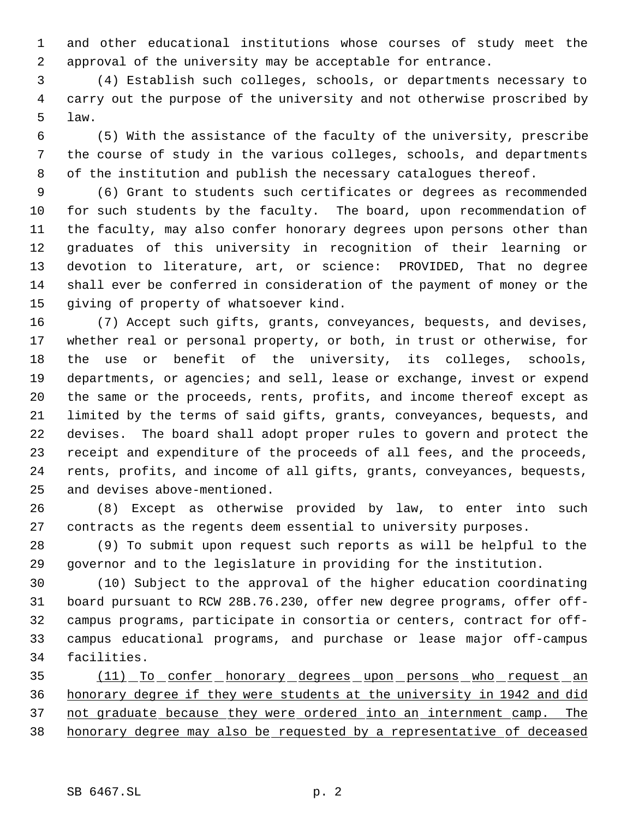and other educational institutions whose courses of study meet the approval of the university may be acceptable for entrance.

 (4) Establish such colleges, schools, or departments necessary to carry out the purpose of the university and not otherwise proscribed by law.

 (5) With the assistance of the faculty of the university, prescribe the course of study in the various colleges, schools, and departments of the institution and publish the necessary catalogues thereof.

 (6) Grant to students such certificates or degrees as recommended for such students by the faculty. The board, upon recommendation of the faculty, may also confer honorary degrees upon persons other than graduates of this university in recognition of their learning or devotion to literature, art, or science: PROVIDED, That no degree shall ever be conferred in consideration of the payment of money or the giving of property of whatsoever kind.

 (7) Accept such gifts, grants, conveyances, bequests, and devises, whether real or personal property, or both, in trust or otherwise, for the use or benefit of the university, its colleges, schools, departments, or agencies; and sell, lease or exchange, invest or expend the same or the proceeds, rents, profits, and income thereof except as limited by the terms of said gifts, grants, conveyances, bequests, and devises. The board shall adopt proper rules to govern and protect the receipt and expenditure of the proceeds of all fees, and the proceeds, rents, profits, and income of all gifts, grants, conveyances, bequests, and devises above-mentioned.

 (8) Except as otherwise provided by law, to enter into such contracts as the regents deem essential to university purposes.

 (9) To submit upon request such reports as will be helpful to the governor and to the legislature in providing for the institution.

 (10) Subject to the approval of the higher education coordinating board pursuant to RCW 28B.76.230, offer new degree programs, offer off- campus programs, participate in consortia or centers, contract for off- campus educational programs, and purchase or lease major off-campus facilities.

 (11) To confer honorary degrees upon persons who request an honorary degree if they were students at the university in 1942 and did not graduate because they were ordered into an internment camp. The honorary degree may also be requested by a representative of deceased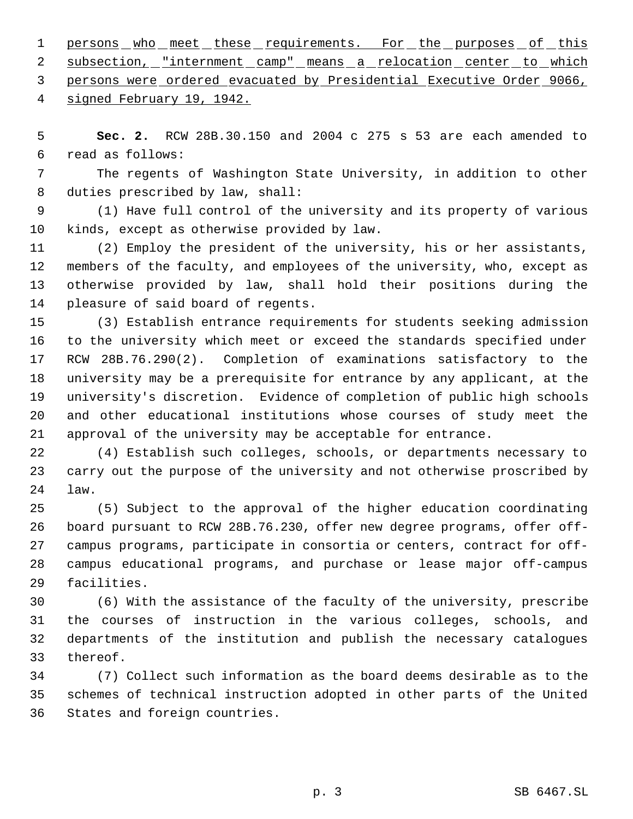1 persons who meet these requirements. For the purposes of this 2 subsection, "internment camp" means a relocation center to which persons were ordered evacuated by Presidential Executive Order 9066,

signed February 19, 1942.

 **Sec. 2.** RCW 28B.30.150 and 2004 c 275 s 53 are each amended to read as follows:

 The regents of Washington State University, in addition to other duties prescribed by law, shall:

 (1) Have full control of the university and its property of various kinds, except as otherwise provided by law.

 (2) Employ the president of the university, his or her assistants, members of the faculty, and employees of the university, who, except as otherwise provided by law, shall hold their positions during the pleasure of said board of regents.

 (3) Establish entrance requirements for students seeking admission to the university which meet or exceed the standards specified under RCW 28B.76.290(2). Completion of examinations satisfactory to the university may be a prerequisite for entrance by any applicant, at the university's discretion. Evidence of completion of public high schools and other educational institutions whose courses of study meet the approval of the university may be acceptable for entrance.

 (4) Establish such colleges, schools, or departments necessary to carry out the purpose of the university and not otherwise proscribed by law.

 (5) Subject to the approval of the higher education coordinating board pursuant to RCW 28B.76.230, offer new degree programs, offer off- campus programs, participate in consortia or centers, contract for off- campus educational programs, and purchase or lease major off-campus facilities.

 (6) With the assistance of the faculty of the university, prescribe the courses of instruction in the various colleges, schools, and departments of the institution and publish the necessary catalogues thereof.

 (7) Collect such information as the board deems desirable as to the schemes of technical instruction adopted in other parts of the United States and foreign countries.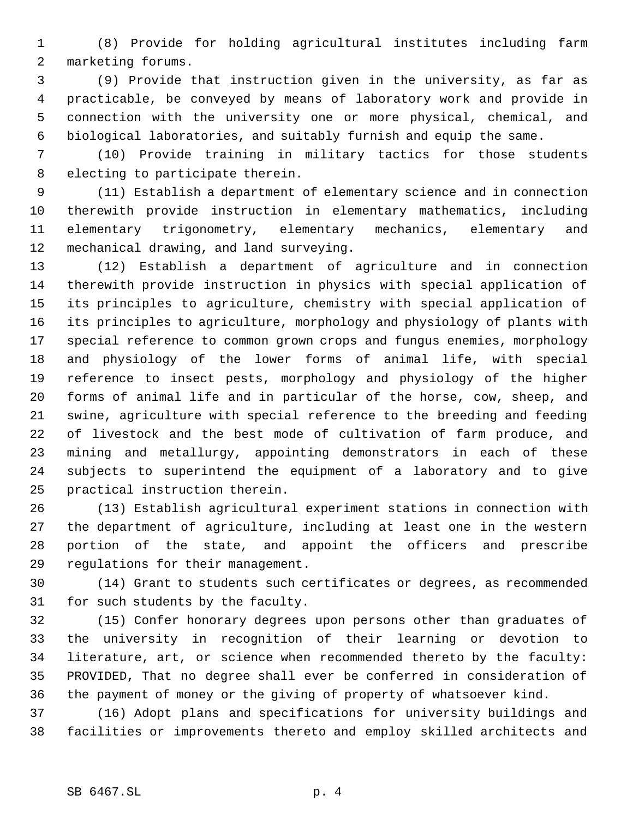(8) Provide for holding agricultural institutes including farm marketing forums.

 (9) Provide that instruction given in the university, as far as practicable, be conveyed by means of laboratory work and provide in connection with the university one or more physical, chemical, and biological laboratories, and suitably furnish and equip the same.

 (10) Provide training in military tactics for those students electing to participate therein.

 (11) Establish a department of elementary science and in connection therewith provide instruction in elementary mathematics, including elementary trigonometry, elementary mechanics, elementary and mechanical drawing, and land surveying.

 (12) Establish a department of agriculture and in connection therewith provide instruction in physics with special application of its principles to agriculture, chemistry with special application of its principles to agriculture, morphology and physiology of plants with special reference to common grown crops and fungus enemies, morphology and physiology of the lower forms of animal life, with special reference to insect pests, morphology and physiology of the higher forms of animal life and in particular of the horse, cow, sheep, and swine, agriculture with special reference to the breeding and feeding of livestock and the best mode of cultivation of farm produce, and mining and metallurgy, appointing demonstrators in each of these subjects to superintend the equipment of a laboratory and to give practical instruction therein.

 (13) Establish agricultural experiment stations in connection with the department of agriculture, including at least one in the western portion of the state, and appoint the officers and prescribe regulations for their management.

 (14) Grant to students such certificates or degrees, as recommended for such students by the faculty.

 (15) Confer honorary degrees upon persons other than graduates of the university in recognition of their learning or devotion to literature, art, or science when recommended thereto by the faculty: PROVIDED, That no degree shall ever be conferred in consideration of the payment of money or the giving of property of whatsoever kind.

 (16) Adopt plans and specifications for university buildings and facilities or improvements thereto and employ skilled architects and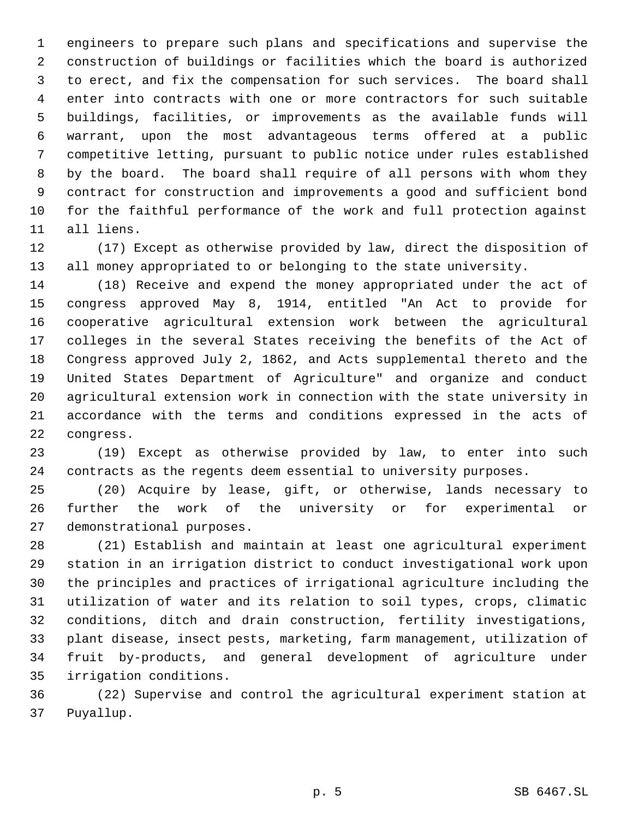engineers to prepare such plans and specifications and supervise the construction of buildings or facilities which the board is authorized to erect, and fix the compensation for such services. The board shall enter into contracts with one or more contractors for such suitable buildings, facilities, or improvements as the available funds will warrant, upon the most advantageous terms offered at a public competitive letting, pursuant to public notice under rules established by the board. The board shall require of all persons with whom they contract for construction and improvements a good and sufficient bond for the faithful performance of the work and full protection against all liens.

 (17) Except as otherwise provided by law, direct the disposition of all money appropriated to or belonging to the state university.

 (18) Receive and expend the money appropriated under the act of congress approved May 8, 1914, entitled "An Act to provide for cooperative agricultural extension work between the agricultural colleges in the several States receiving the benefits of the Act of Congress approved July 2, 1862, and Acts supplemental thereto and the United States Department of Agriculture" and organize and conduct agricultural extension work in connection with the state university in accordance with the terms and conditions expressed in the acts of congress.

 (19) Except as otherwise provided by law, to enter into such contracts as the regents deem essential to university purposes.

 (20) Acquire by lease, gift, or otherwise, lands necessary to further the work of the university or for experimental or demonstrational purposes.

 (21) Establish and maintain at least one agricultural experiment station in an irrigation district to conduct investigational work upon the principles and practices of irrigational agriculture including the utilization of water and its relation to soil types, crops, climatic conditions, ditch and drain construction, fertility investigations, plant disease, insect pests, marketing, farm management, utilization of fruit by-products, and general development of agriculture under irrigation conditions.

 (22) Supervise and control the agricultural experiment station at Puyallup.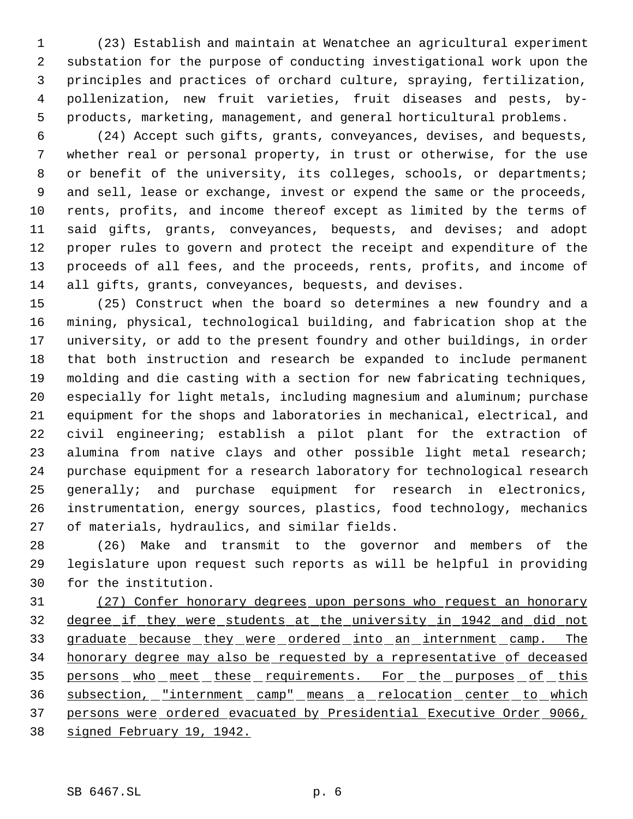(23) Establish and maintain at Wenatchee an agricultural experiment substation for the purpose of conducting investigational work upon the principles and practices of orchard culture, spraying, fertilization, pollenization, new fruit varieties, fruit diseases and pests, by- products, marketing, management, and general horticultural problems.

 (24) Accept such gifts, grants, conveyances, devises, and bequests, whether real or personal property, in trust or otherwise, for the use 8 or benefit of the university, its colleges, schools, or departments; and sell, lease or exchange, invest or expend the same or the proceeds, rents, profits, and income thereof except as limited by the terms of said gifts, grants, conveyances, bequests, and devises; and adopt proper rules to govern and protect the receipt and expenditure of the proceeds of all fees, and the proceeds, rents, profits, and income of all gifts, grants, conveyances, bequests, and devises.

 (25) Construct when the board so determines a new foundry and a mining, physical, technological building, and fabrication shop at the university, or add to the present foundry and other buildings, in order that both instruction and research be expanded to include permanent molding and die casting with a section for new fabricating techniques, especially for light metals, including magnesium and aluminum; purchase equipment for the shops and laboratories in mechanical, electrical, and civil engineering; establish a pilot plant for the extraction of alumina from native clays and other possible light metal research; purchase equipment for a research laboratory for technological research generally; and purchase equipment for research in electronics, instrumentation, energy sources, plastics, food technology, mechanics of materials, hydraulics, and similar fields.

 (26) Make and transmit to the governor and members of the legislature upon request such reports as will be helpful in providing for the institution.

 (27) Confer honorary degrees upon persons who request an honorary degree if they were students at the university in 1942 and did not graduate because they were ordered into an internment camp. The honorary degree may also be requested by a representative of deceased 35 persons who meet these requirements. For the purposes of this 36 subsection, "internment camp" means a relocation center to which persons were ordered evacuated by Presidential Executive Order 9066, signed February 19, 1942.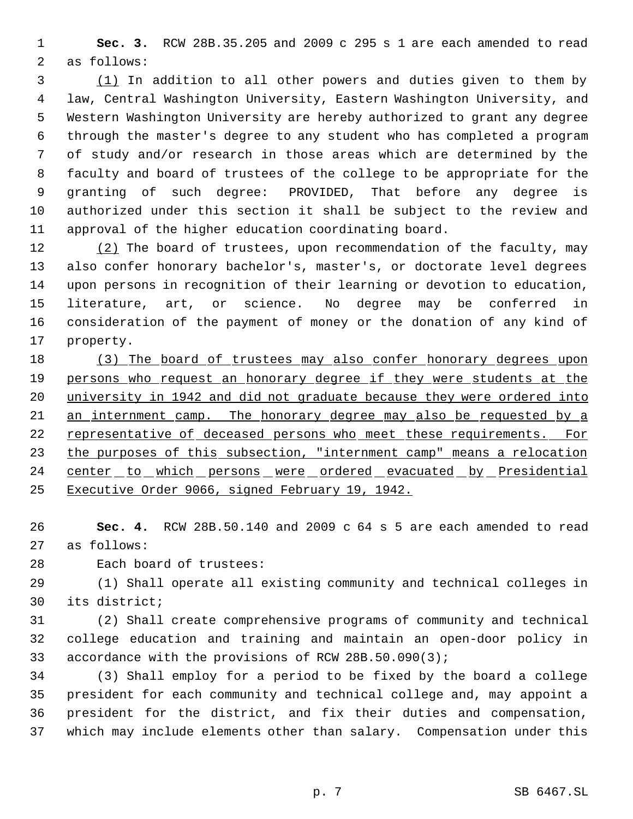**Sec. 3.** RCW 28B.35.205 and 2009 c 295 s 1 are each amended to read as follows:

 (1) In addition to all other powers and duties given to them by law, Central Washington University, Eastern Washington University, and Western Washington University are hereby authorized to grant any degree through the master's degree to any student who has completed a program of study and/or research in those areas which are determined by the faculty and board of trustees of the college to be appropriate for the granting of such degree: PROVIDED, That before any degree is authorized under this section it shall be subject to the review and approval of the higher education coordinating board.

12 (2) The board of trustees, upon recommendation of the faculty, may also confer honorary bachelor's, master's, or doctorate level degrees upon persons in recognition of their learning or devotion to education, literature, art, or science. No degree may be conferred in consideration of the payment of money or the donation of any kind of property.

18 (3) The board of trustees may also confer honorary degrees upon 19 persons who request an honorary degree if they were students at the university in 1942 and did not graduate because they were ordered into 21 an internment camp. The honorary degree may also be requested by a 22 representative of deceased persons who meet these requirements. For 23 the purposes of this subsection, "internment camp" means a relocation 24 center to which persons were ordered evacuated by Presidential Executive Order 9066, signed February 19, 1942.

 **Sec. 4.** RCW 28B.50.140 and 2009 c 64 s 5 are each amended to read as follows:

Each board of trustees:

 (1) Shall operate all existing community and technical colleges in its district;

 (2) Shall create comprehensive programs of community and technical college education and training and maintain an open-door policy in accordance with the provisions of RCW 28B.50.090(3);

 (3) Shall employ for a period to be fixed by the board a college president for each community and technical college and, may appoint a president for the district, and fix their duties and compensation, which may include elements other than salary. Compensation under this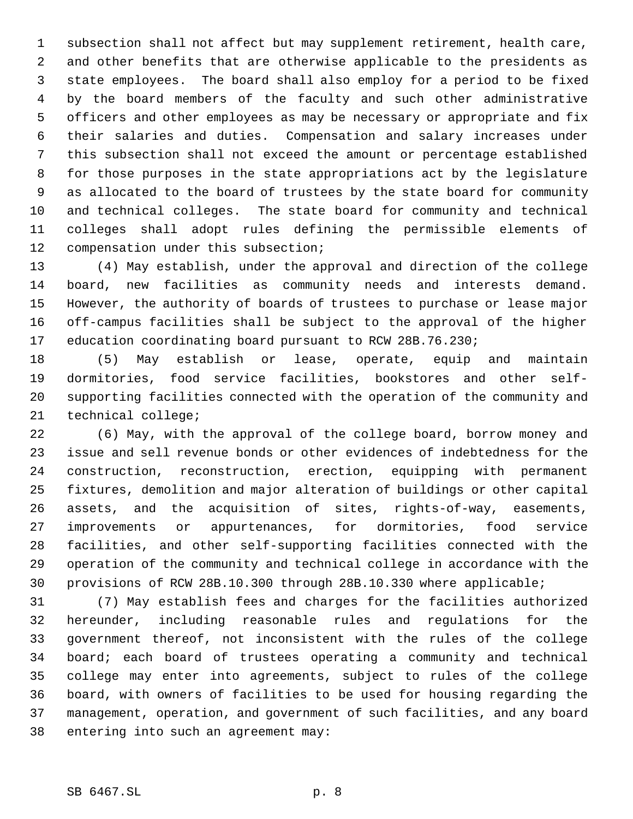subsection shall not affect but may supplement retirement, health care, and other benefits that are otherwise applicable to the presidents as state employees. The board shall also employ for a period to be fixed by the board members of the faculty and such other administrative officers and other employees as may be necessary or appropriate and fix their salaries and duties. Compensation and salary increases under this subsection shall not exceed the amount or percentage established for those purposes in the state appropriations act by the legislature as allocated to the board of trustees by the state board for community and technical colleges. The state board for community and technical colleges shall adopt rules defining the permissible elements of compensation under this subsection;

 (4) May establish, under the approval and direction of the college board, new facilities as community needs and interests demand. However, the authority of boards of trustees to purchase or lease major off-campus facilities shall be subject to the approval of the higher education coordinating board pursuant to RCW 28B.76.230;

 (5) May establish or lease, operate, equip and maintain dormitories, food service facilities, bookstores and other self- supporting facilities connected with the operation of the community and technical college;

 (6) May, with the approval of the college board, borrow money and issue and sell revenue bonds or other evidences of indebtedness for the construction, reconstruction, erection, equipping with permanent fixtures, demolition and major alteration of buildings or other capital assets, and the acquisition of sites, rights-of-way, easements, improvements or appurtenances, for dormitories, food service facilities, and other self-supporting facilities connected with the operation of the community and technical college in accordance with the provisions of RCW 28B.10.300 through 28B.10.330 where applicable;

 (7) May establish fees and charges for the facilities authorized hereunder, including reasonable rules and regulations for the government thereof, not inconsistent with the rules of the college board; each board of trustees operating a community and technical college may enter into agreements, subject to rules of the college board, with owners of facilities to be used for housing regarding the management, operation, and government of such facilities, and any board entering into such an agreement may: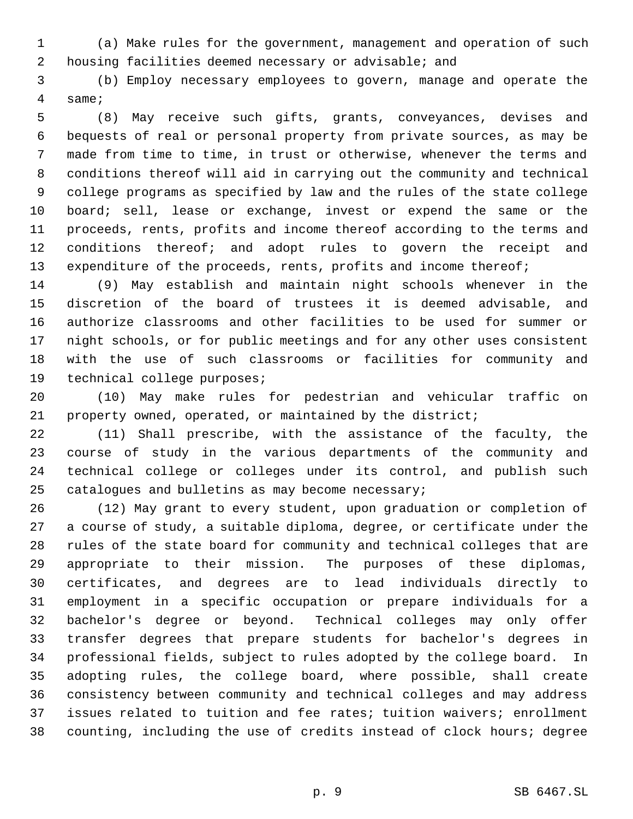(a) Make rules for the government, management and operation of such housing facilities deemed necessary or advisable; and

 (b) Employ necessary employees to govern, manage and operate the same;

 (8) May receive such gifts, grants, conveyances, devises and bequests of real or personal property from private sources, as may be made from time to time, in trust or otherwise, whenever the terms and conditions thereof will aid in carrying out the community and technical college programs as specified by law and the rules of the state college board; sell, lease or exchange, invest or expend the same or the proceeds, rents, profits and income thereof according to the terms and conditions thereof; and adopt rules to govern the receipt and 13 expenditure of the proceeds, rents, profits and income thereof;

 (9) May establish and maintain night schools whenever in the discretion of the board of trustees it is deemed advisable, and authorize classrooms and other facilities to be used for summer or night schools, or for public meetings and for any other uses consistent with the use of such classrooms or facilities for community and technical college purposes;

 (10) May make rules for pedestrian and vehicular traffic on property owned, operated, or maintained by the district;

 (11) Shall prescribe, with the assistance of the faculty, the course of study in the various departments of the community and technical college or colleges under its control, and publish such catalogues and bulletins as may become necessary;

 (12) May grant to every student, upon graduation or completion of a course of study, a suitable diploma, degree, or certificate under the rules of the state board for community and technical colleges that are appropriate to their mission. The purposes of these diplomas, certificates, and degrees are to lead individuals directly to employment in a specific occupation or prepare individuals for a bachelor's degree or beyond. Technical colleges may only offer transfer degrees that prepare students for bachelor's degrees in professional fields, subject to rules adopted by the college board. In adopting rules, the college board, where possible, shall create consistency between community and technical colleges and may address issues related to tuition and fee rates; tuition waivers; enrollment counting, including the use of credits instead of clock hours; degree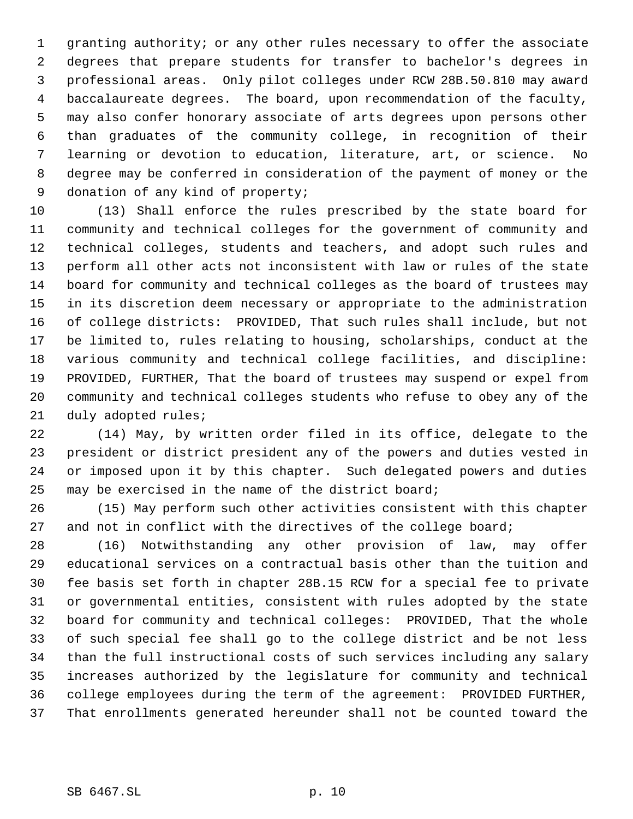granting authority; or any other rules necessary to offer the associate degrees that prepare students for transfer to bachelor's degrees in professional areas. Only pilot colleges under RCW 28B.50.810 may award baccalaureate degrees. The board, upon recommendation of the faculty, may also confer honorary associate of arts degrees upon persons other than graduates of the community college, in recognition of their learning or devotion to education, literature, art, or science. No degree may be conferred in consideration of the payment of money or the donation of any kind of property;

 (13) Shall enforce the rules prescribed by the state board for community and technical colleges for the government of community and technical colleges, students and teachers, and adopt such rules and perform all other acts not inconsistent with law or rules of the state board for community and technical colleges as the board of trustees may in its discretion deem necessary or appropriate to the administration of college districts: PROVIDED, That such rules shall include, but not be limited to, rules relating to housing, scholarships, conduct at the various community and technical college facilities, and discipline: PROVIDED, FURTHER, That the board of trustees may suspend or expel from community and technical colleges students who refuse to obey any of the duly adopted rules;

 (14) May, by written order filed in its office, delegate to the president or district president any of the powers and duties vested in or imposed upon it by this chapter. Such delegated powers and duties may be exercised in the name of the district board;

 (15) May perform such other activities consistent with this chapter 27 and not in conflict with the directives of the college board;

 (16) Notwithstanding any other provision of law, may offer educational services on a contractual basis other than the tuition and fee basis set forth in chapter 28B.15 RCW for a special fee to private or governmental entities, consistent with rules adopted by the state board for community and technical colleges: PROVIDED, That the whole of such special fee shall go to the college district and be not less than the full instructional costs of such services including any salary increases authorized by the legislature for community and technical college employees during the term of the agreement: PROVIDED FURTHER, That enrollments generated hereunder shall not be counted toward the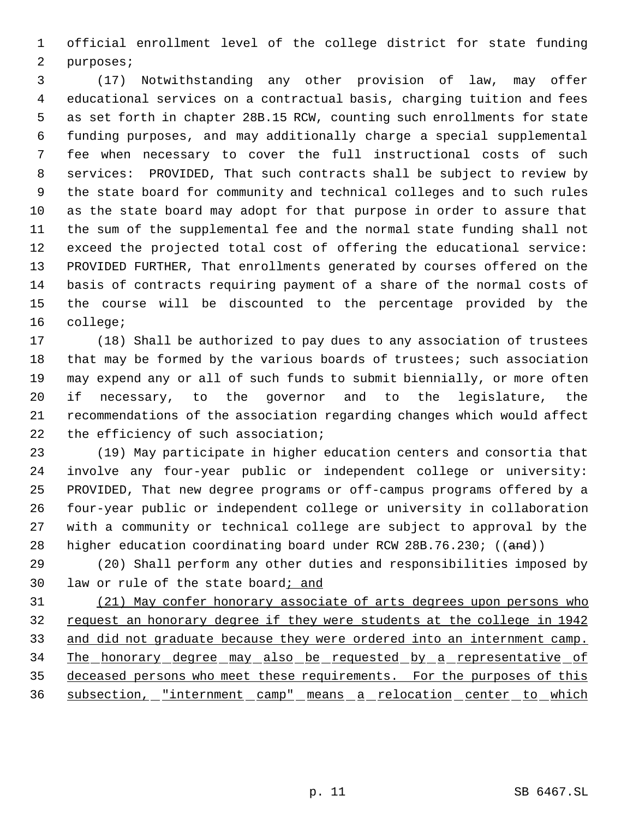official enrollment level of the college district for state funding purposes;

 (17) Notwithstanding any other provision of law, may offer educational services on a contractual basis, charging tuition and fees as set forth in chapter 28B.15 RCW, counting such enrollments for state funding purposes, and may additionally charge a special supplemental fee when necessary to cover the full instructional costs of such services: PROVIDED, That such contracts shall be subject to review by the state board for community and technical colleges and to such rules as the state board may adopt for that purpose in order to assure that the sum of the supplemental fee and the normal state funding shall not exceed the projected total cost of offering the educational service: PROVIDED FURTHER, That enrollments generated by courses offered on the basis of contracts requiring payment of a share of the normal costs of the course will be discounted to the percentage provided by the college;

 (18) Shall be authorized to pay dues to any association of trustees 18 that may be formed by the various boards of trustees; such association may expend any or all of such funds to submit biennially, or more often if necessary, to the governor and to the legislature, the recommendations of the association regarding changes which would affect 22 the efficiency of such association;

 (19) May participate in higher education centers and consortia that involve any four-year public or independent college or university: PROVIDED, That new degree programs or off-campus programs offered by a four-year public or independent college or university in collaboration with a community or technical college are subject to approval by the 28 higher education coordinating board under RCW 28B.76.230; ((and))

 (20) Shall perform any other duties and responsibilities imposed by law or rule of the state board; and

 (21) May confer honorary associate of arts degrees upon persons who request an honorary degree if they were students at the college in 1942 33 and did not graduate because they were ordered into an internment camp. 34 The honorary degree may also be requested by a representative of deceased persons who meet these requirements. For the purposes of this 36 subsection, "internment camp" means a relocation center to which